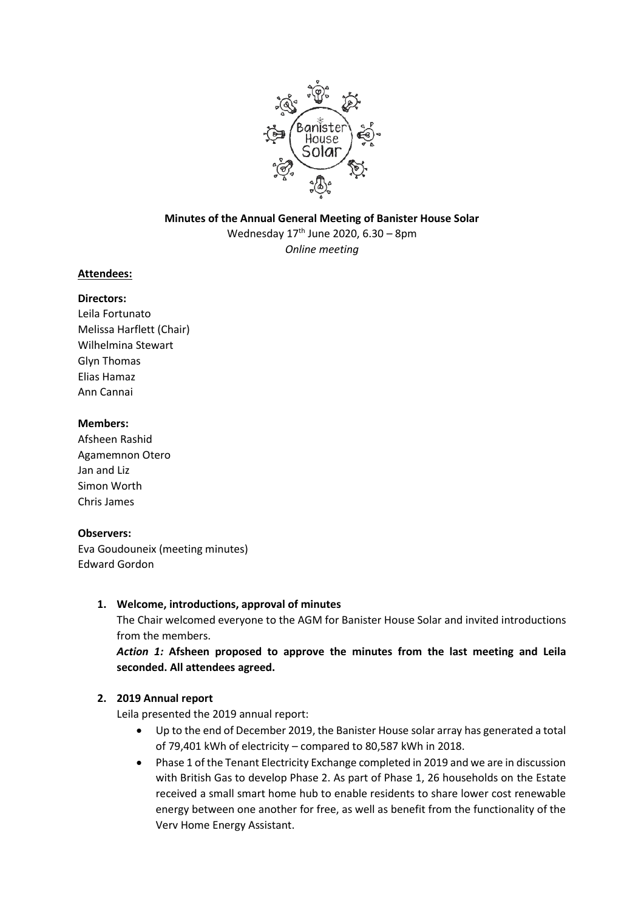

# **Minutes of the Annual General Meeting of Banister House Solar** Wednesday  $17<sup>th</sup>$  June 2020, 6.30 – 8pm *Online meeting*

## **Attendees:**

# **Directors:**

Leila Fortunato Melissa Harflett (Chair) Wilhelmina Stewart Glyn Thomas Elias Hamaz Ann Cannai

#### **Members:**

Afsheen Rashid Agamemnon Otero Jan and Liz Simon Worth Chris James

## **Observers:**

Eva Goudouneix (meeting minutes) Edward Gordon

## **1. Welcome, introductions, approval of minutes**

The Chair welcomed everyone to the AGM for Banister House Solar and invited introductions from the members.

*Action 1:* **Afsheen proposed to approve the minutes from the last meeting and Leila seconded. All attendees agreed.**

## **2. 2019 Annual report**

Leila presented the 2019 annual report:

- Up to the end of December 2019, the Banister House solar array has generated a total of 79,401 kWh of electricity – compared to 80,587 kWh in 2018.
- Phase 1 of the Tenant Electricity Exchange completed in 2019 and we are in discussion with British Gas to develop Phase 2. As part of Phase 1, 26 households on the Estate received a small smart home hub to enable residents to share lower cost renewable energy between one another for free, as well as benefit from the functionality of the Verv Home Energy Assistant.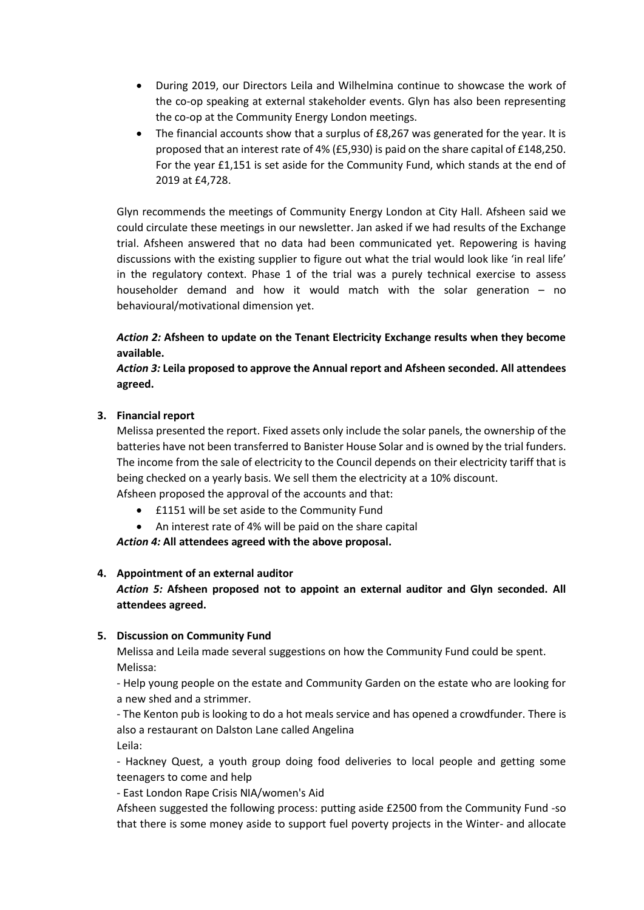- During 2019, our Directors Leila and Wilhelmina continue to showcase the work of the co-op speaking at external stakeholder events. Glyn has also been representing the co-op at the Community Energy London meetings.
- The financial accounts show that a surplus of £8,267 was generated for the year. It is proposed that an interest rate of 4% (£5,930) is paid on the share capital of £148,250. For the year £1,151 is set aside for the Community Fund, which stands at the end of 2019 at £4,728.

Glyn recommends the meetings of Community Energy London at City Hall. Afsheen said we could circulate these meetings in our newsletter. Jan asked if we had results of the Exchange trial. Afsheen answered that no data had been communicated yet. Repowering is having discussions with the existing supplier to figure out what the trial would look like 'in real life' in the regulatory context. Phase 1 of the trial was a purely technical exercise to assess householder demand and how it would match with the solar generation – no behavioural/motivational dimension yet.

# *Action 2:* **Afsheen to update on the Tenant Electricity Exchange results when they become available.**

## *Action 3:* **Leila proposed to approve the Annual report and Afsheen seconded. All attendees agreed.**

## **3. Financial report**

Melissa presented the report. Fixed assets only include the solar panels, the ownership of the batteries have not been transferred to Banister House Solar and is owned by the trial funders. The income from the sale of electricity to the Council depends on their electricity tariff that is being checked on a yearly basis. We sell them the electricity at a 10% discount.

- Afsheen proposed the approval of the accounts and that: • £1151 will be set aside to the Community Fund
	- An interest rate of 4% will be paid on the share capital

*Action 4:* **All attendees agreed with the above proposal.** 

## **4. Appointment of an external auditor**

# *Action 5:* **Afsheen proposed not to appoint an external auditor and Glyn seconded. All attendees agreed.**

## **5. Discussion on Community Fund**

Melissa and Leila made several suggestions on how the Community Fund could be spent. Melissa:

- Help young people on the estate and Community Garden on the estate who are looking for a new shed and a strimmer.

- The Kenton pub is looking to do a hot meals service and has opened a crowdfunder. There is also a restaurant on Dalston Lane called Angelina Leila:

- Hackney Quest, a youth group doing food deliveries to local people and getting some teenagers to come and help

- East London Rape Crisis NIA/women's Aid

Afsheen suggested the following process: putting aside £2500 from the Community Fund -so that there is some money aside to support fuel poverty projects in the Winter- and allocate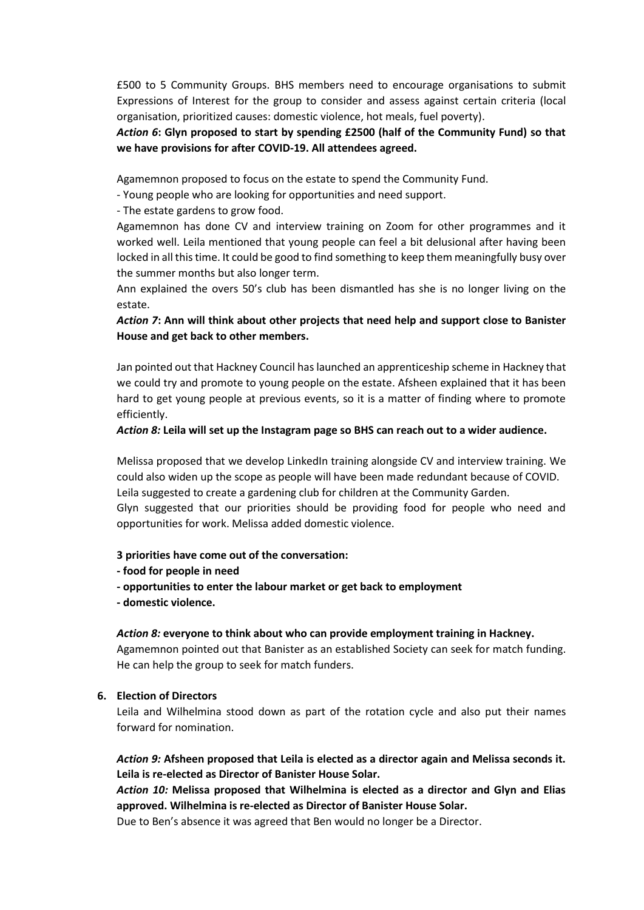£500 to 5 Community Groups. BHS members need to encourage organisations to submit Expressions of Interest for the group to consider and assess against certain criteria (local organisation, prioritized causes: domestic violence, hot meals, fuel poverty).

*Action 6***: Glyn proposed to start by spending £2500 (half of the Community Fund) so that we have provisions for after COVID-19. All attendees agreed.**

Agamemnon proposed to focus on the estate to spend the Community Fund.

- Young people who are looking for opportunities and need support.

- The estate gardens to grow food.

Agamemnon has done CV and interview training on Zoom for other programmes and it worked well. Leila mentioned that young people can feel a bit delusional after having been locked in all this time. It could be good to find something to keep them meaningfully busy over the summer months but also longer term.

Ann explained the overs 50's club has been dismantled has she is no longer living on the estate.

*Action 7***: Ann will think about other projects that need help and support close to Banister House and get back to other members.** 

Jan pointed out that Hackney Council has launched an apprenticeship scheme in Hackney that we could try and promote to young people on the estate. Afsheen explained that it has been hard to get young people at previous events, so it is a matter of finding where to promote efficiently.

#### *Action 8:* **Leila will set up the Instagram page so BHS can reach out to a wider audience.**

Melissa proposed that we develop LinkedIn training alongside CV and interview training. We could also widen up the scope as people will have been made redundant because of COVID. Leila suggested to create a gardening club for children at the Community Garden. Glyn suggested that our priorities should be providing food for people who need and opportunities for work. Melissa added domestic violence.

#### **3 priorities have come out of the conversation:**

- **- food for people in need**
- **- opportunities to enter the labour market or get back to employment**
- **- domestic violence.**

#### *Action 8:* **everyone to think about who can provide employment training in Hackney.**

Agamemnon pointed out that Banister as an established Society can seek for match funding. He can help the group to seek for match funders.

#### **6. Election of Directors**

Leila and Wilhelmina stood down as part of the rotation cycle and also put their names forward for nomination.

*Action 9:* **Afsheen proposed that Leila is elected as a director again and Melissa seconds it. Leila is re-elected as Director of Banister House Solar.** 

*Action 10:* **Melissa proposed that Wilhelmina is elected as a director and Glyn and Elias approved. Wilhelmina is re-elected as Director of Banister House Solar.**

Due to Ben's absence it was agreed that Ben would no longer be a Director.